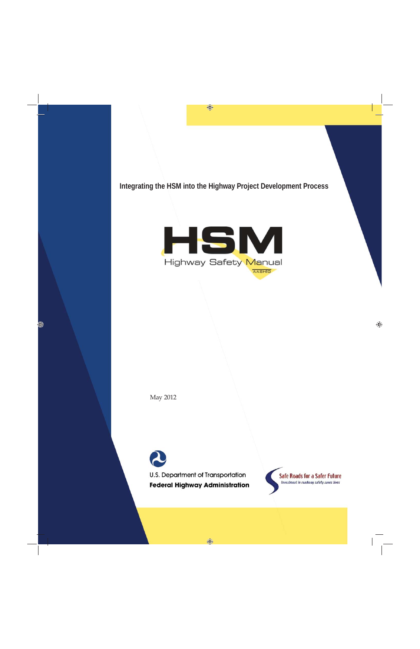**Integrating the HSM into the Highway Project Development Process**



May 2012



**Federal Highway Administration** 

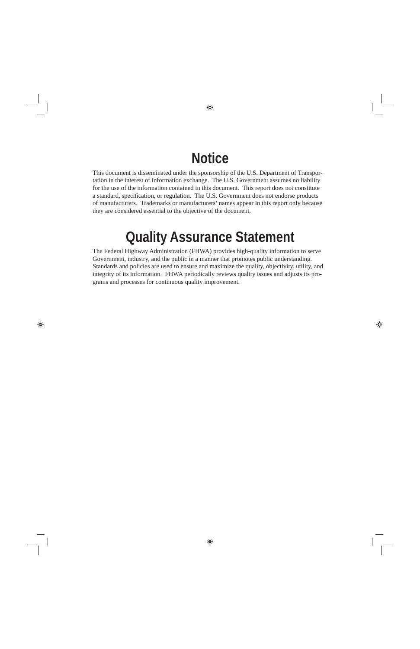# **Notice**

This document is disseminated under the sponsorship of the U.S. Department of Transportation in the interest of information exchange. The U.S. Government assumes no liability for the use of the information contained in this document. This report does not constitute a standard, specification, or regulation. The U.S. Government does not endorse products of manufacturers. Trademarks or manufacturers' names appear in this report only because they are considered essential to the objective of the document.

# **Quality Assurance Statement**

The Federal Highway Administration (FHWA) provides high-quality information to serve Government, industry, and the public in a manner that promotes public understanding. Standards and policies are used to ensure and maximize the quality, objectivity, utility, and integrity of its information. FHWA periodically reviews quality issues and adjusts its programs and processes for continuous quality improvement.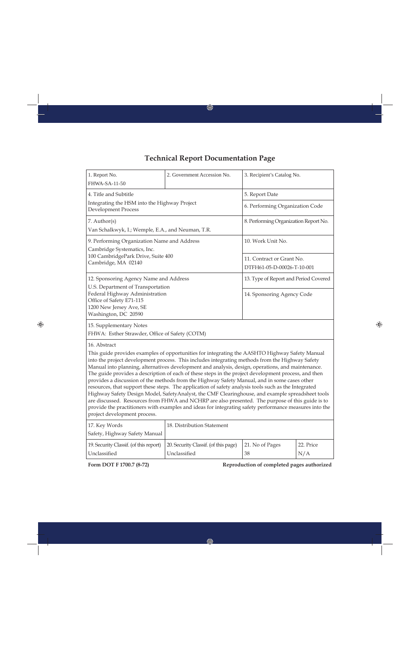### **Technical Report Documentation Page**

| 1. Report No.<br>FHWA-SA-11-50                                                                                                                                                                                                                                                                                                                                                                                                                                                                                                                                                                                                                                                                                                                                                                                                                                                                                                                                                            | 2. Government Accession No.                          | 3. Recipient's Catalog No.                              |                  |
|-------------------------------------------------------------------------------------------------------------------------------------------------------------------------------------------------------------------------------------------------------------------------------------------------------------------------------------------------------------------------------------------------------------------------------------------------------------------------------------------------------------------------------------------------------------------------------------------------------------------------------------------------------------------------------------------------------------------------------------------------------------------------------------------------------------------------------------------------------------------------------------------------------------------------------------------------------------------------------------------|------------------------------------------------------|---------------------------------------------------------|------------------|
| 4. Title and Subtitle<br>Integrating the HSM into the Highway Project<br><b>Development Process</b>                                                                                                                                                                                                                                                                                                                                                                                                                                                                                                                                                                                                                                                                                                                                                                                                                                                                                       |                                                      | 5. Report Date                                          |                  |
|                                                                                                                                                                                                                                                                                                                                                                                                                                                                                                                                                                                                                                                                                                                                                                                                                                                                                                                                                                                           |                                                      | 6. Performing Organization Code                         |                  |
| 7. Author(s)<br>Van Schalkwyk, I.; Wemple, E.A., and Neuman, T.R.                                                                                                                                                                                                                                                                                                                                                                                                                                                                                                                                                                                                                                                                                                                                                                                                                                                                                                                         |                                                      | 8. Performing Organization Report No.                   |                  |
| 9. Performing Organization Name and Address<br>Cambridge Systematics, Inc.                                                                                                                                                                                                                                                                                                                                                                                                                                                                                                                                                                                                                                                                                                                                                                                                                                                                                                                |                                                      | 10. Work Unit No.                                       |                  |
| 100 CambridgePark Drive, Suite 400<br>Cambridge, MA 02140                                                                                                                                                                                                                                                                                                                                                                                                                                                                                                                                                                                                                                                                                                                                                                                                                                                                                                                                 |                                                      | 11. Contract or Grant No.<br>DTFH61-05-D-00026-T-10-001 |                  |
| 12. Sponsoring Agency Name and Address                                                                                                                                                                                                                                                                                                                                                                                                                                                                                                                                                                                                                                                                                                                                                                                                                                                                                                                                                    |                                                      | 13. Type of Report and Period Covered                   |                  |
| U.S. Department of Transportation<br>Federal Highway Administration<br>Office of Safety E71-115<br>1200 New Jersey Ave, SE<br>Washington, DC 20590                                                                                                                                                                                                                                                                                                                                                                                                                                                                                                                                                                                                                                                                                                                                                                                                                                        |                                                      | 14. Sponsoring Agency Code                              |                  |
| 15. Supplementary Notes<br>FHWA: Esther Strawder, Office of Safety (COTM)                                                                                                                                                                                                                                                                                                                                                                                                                                                                                                                                                                                                                                                                                                                                                                                                                                                                                                                 |                                                      |                                                         |                  |
| 16. Abstract<br>This guide provides examples of opportunities for integrating the AASHTO Highway Safety Manual<br>into the project development process. This includes integrating methods from the Highway Safety<br>Manual into planning, alternatives development and analysis, design, operations, and maintenance.<br>The guide provides a description of each of these steps in the project development process, and then<br>provides a discussion of the methods from the Highway Safety Manual, and in some cases other<br>resources, that support these steps. The application of safety analysis tools such as the Integrated<br>Highway Safety Design Model, Safety Analyst, the CMF Clearinghouse, and example spreadsheet tools<br>are discussed. Resources from FHWA and NCHRP are also presented. The purpose of this guide is to<br>provide the practitioners with examples and ideas for integrating safety performance measures into the<br>project development process. |                                                      |                                                         |                  |
| 17. Key Words<br>Safety, Highway Safety Manual                                                                                                                                                                                                                                                                                                                                                                                                                                                                                                                                                                                                                                                                                                                                                                                                                                                                                                                                            | 18. Distribution Statement                           |                                                         |                  |
| 19. Security Classif. (of this report)<br>Unclassified                                                                                                                                                                                                                                                                                                                                                                                                                                                                                                                                                                                                                                                                                                                                                                                                                                                                                                                                    | 20. Security Classif. (of this page)<br>Unclassified | 21. No of Pages<br>38                                   | 22. Price<br>N/A |

Form DOT F 1700.7 (8-72) Reproduction of completed pages authorized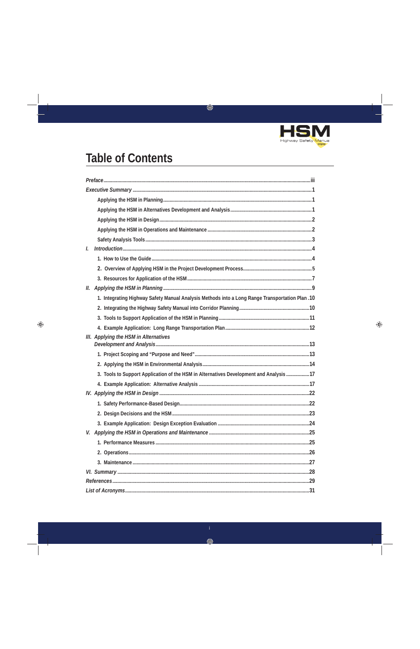

## **Table of Contents**

| $\overline{L}$ |                                                                                                 |  |
|----------------|-------------------------------------------------------------------------------------------------|--|
|                |                                                                                                 |  |
|                |                                                                                                 |  |
|                |                                                                                                 |  |
|                |                                                                                                 |  |
|                | 1. Integrating Highway Safety Manual Analysis Methods into a Long Range Transportation Plan .10 |  |
|                |                                                                                                 |  |
|                |                                                                                                 |  |
|                |                                                                                                 |  |
|                | III. Applying the HSM in Alternatives                                                           |  |
|                |                                                                                                 |  |
|                |                                                                                                 |  |
|                | 3. Tools to Support Application of the HSM in Alternatives Development and Analysis  17         |  |
|                |                                                                                                 |  |
|                |                                                                                                 |  |
|                |                                                                                                 |  |
|                |                                                                                                 |  |
|                |                                                                                                 |  |
|                |                                                                                                 |  |
|                |                                                                                                 |  |
|                |                                                                                                 |  |
|                |                                                                                                 |  |
|                |                                                                                                 |  |
|                |                                                                                                 |  |
|                |                                                                                                 |  |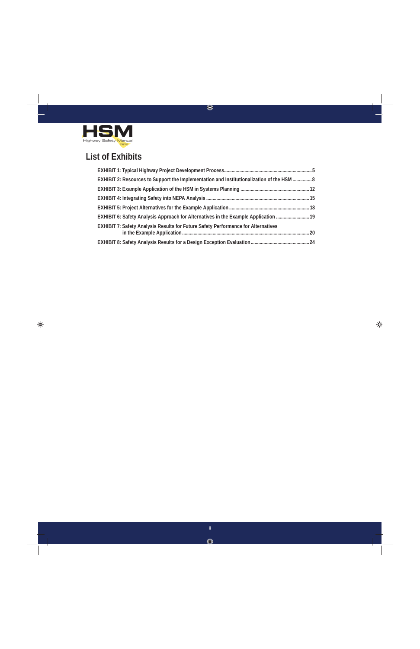

### **List of Exhibits**

| EXHIBIT 2: Resources to Support the Implementation and Institutionalization of the HSM  8 |  |
|-------------------------------------------------------------------------------------------|--|
|                                                                                           |  |
|                                                                                           |  |
|                                                                                           |  |
| EXHIBIT 6: Safety Analysis Approach for Alternatives in the Example Application  19       |  |
| <b>EXHIBIT 7: Safety Analysis Results for Future Safety Performance for Alternatives</b>  |  |
|                                                                                           |  |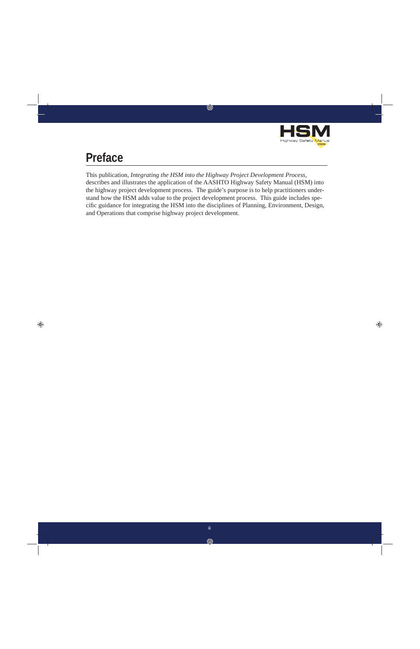

## **Preface**

This publication, *Integrating the HSM into the Highway Project Development Process*, describes and illustrates the application of the AASHTO Highway Safety Manual (HSM) into the highway project development process. The guide's purpose is to help practitioners understand how the HSM adds value to the project development process. This guide includes specific guidance for integrating the HSM into the disciplines of Planning, Environment, Design, and Operations that comprise highway project development.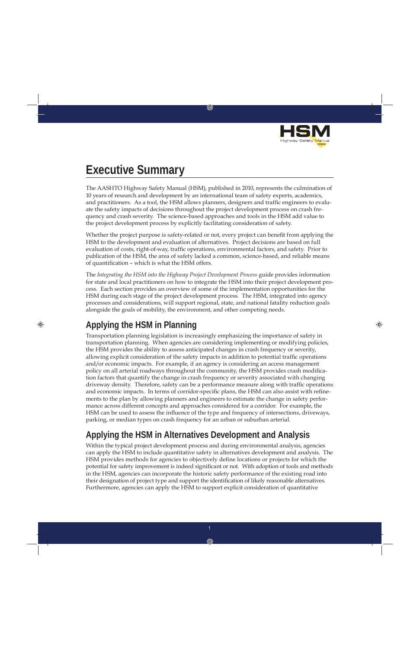

## **Executive Summary**

The AASHTO Highway Safety Manual (HSM), published in 2010, represents the culmination of 10 years of research and development by an international team of safety experts, academics, and practitioners. As a tool, the HSM allows planners, designers and traffic engineers to evaluate the safety impacts of decisions throughout the project development process on crash frequency and crash severity. The science-based approaches and tools in the HSM add value to the project development process by explicitly facilitating consideration of safety.

Whether the project purpose is safety-related or not, every project can benefit from applying the HSM to the development and evaluation of alternatives. Project decisions are based on full evaluation of costs, right-of-way, traffic operations, environmental factors, and safety. Prior to publication of the HSM, the area of safety lacked a common, science-based, and reliable means of quantification - which is what the HSM offers.

The *Integrating the HSM into the Highway Project Development Process* guide provides information for state and local practitioners on how to integrate the HSM into their project development process. Each section provides an overview of some of the implementation opportunities for the HSM during each stage of the project development process. The HSM, integrated into agency processes and considerations, will support regional, state, and national fatality reduction goals alongside the goals of mobility, the environment, and other competing needs.

### **Applying the HSM in Planning**

Transportation planning legislation is increasingly emphasizing the importance of safety in transportation planning. When agencies are considering implementing or modifying policies, the HSM provides the ability to assess anticipated changes in crash frequency or severity, allowing explicit consideration of the safety impacts in addition to potential traffic operations and/or economic impacts. For example, if an agency is considering an access management policy on all arterial roadways throughout the community, the HSM provides crash modification factors that quantify the change in crash frequency or severity associated with changing driveway density. Therefore, safety can be a performance measure along with traffic operations and economic impacts. In terms of corridor-specific plans, the HSM can also assist with refinements to the plan by allowing planners and engineers to estimate the change in safety performance across different concepts and approaches considered for a corridor. For example, the HSM can be used to assess the influence of the type and frequency of intersections, driveways, parking, or median types on crash frequency for an urban or suburban arterial.

### **Applying the HSM in Alternatives Development and Analysis**

Within the typical project development process and during environmental analysis, agencies can apply the HSM to include quantitative safety in alternatives development and analysis. The HSM provides methods for agencies to objectively define locations or projects for which the potential for safety improvement is indeed significant or not. With adoption of tools and methods in the HSM, agencies can incorporate the historic safety performance of the existing road into their designation of project type and support the identification of likely reasonable alternatives. Furthermore, agencies can apply the HSM to support explicit consideration of quantitative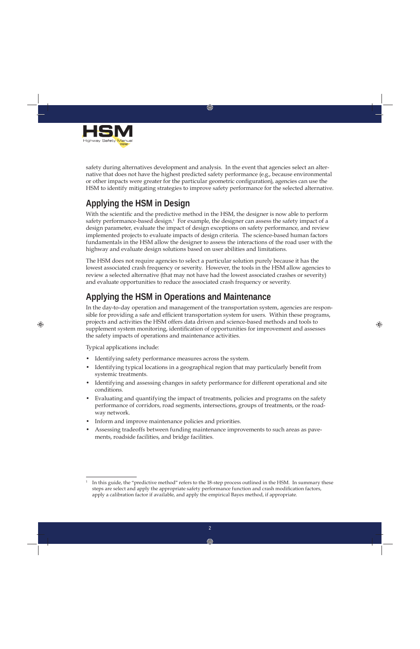

safety during alternatives development and analysis. In the event that agencies select an alternative that does not have the highest predicted safety performance (e.g., because environmental or other impacts were greater for the particular geometric configuration), agencies can use the HSM to identify mitigating strategies to improve safety performance for the selected alternative.

### **Applying the HSM in Design**

With the scientific and the predictive method in the HSM, the designer is now able to perform safety performance-based design.<sup>1</sup> For example, the designer can assess the safety impact of a design parameter, evaluate the impact of design exceptions on safety performance, and review implemented projects to evaluate impacts of design criteria. The science-based human factors fundamentals in the HSM allow the designer to assess the interactions of the road user with the highway and evaluate design solutions based on user abilities and limitations.

The HSM does not require agencies to select a particular solution purely because it has the lowest associated crash frequency or severity. However, the tools in the HSM allow agencies to review a selected alternative (that may not have had the lowest associated crashes or severity) and evaluate opportunities to reduce the associated crash frequency or severity.

### **Applying the HSM in Operations and Maintenance**

In the day-to-day operation and management of the transportation system, agencies are responsible for providing a safe and efficient transportation system for users. Within these programs, projects and activities the HSM offers data driven and science-based methods and tools to supplement system monitoring, identification of opportunities for improvement and assesses the safety impacts of operations and maintenance activities.

Typical applications include:

- Identifying safety performance measures across the system.
- Identifying typical locations in a geographical region that may particularly benefit from systemic treatments.
- Identifying and assessing changes in safety performance for different operational and site conditions.
- Evaluating and quantifying the impact of treatments, policies and programs on the safety performance of corridors, road segments, intersections, groups of treatments, or the roadway network.
- Inform and improve maintenance policies and priorities.
- Assessing tradeoffs between funding maintenance improvements to such areas as pavements, roadside facilities, and bridge facilities.

<sup>1</sup> In this guide, the "predictive method" refers to the 18-step process outlined in the HSM. In summary these steps are select and apply the appropriate safety performance function and crash modification factors, apply a calibration factor if available, and apply the empirical Bayes method, if appropriate.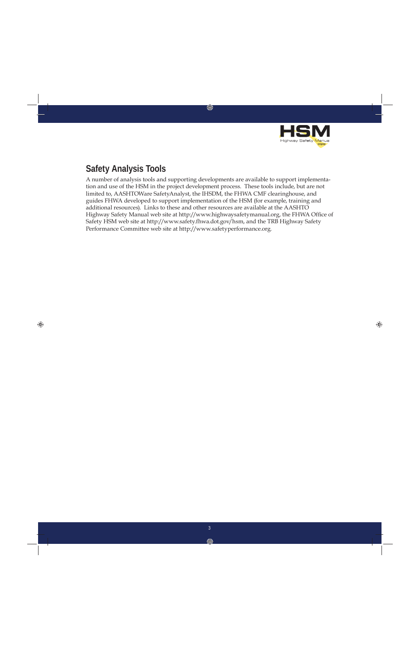

### **Safety Analysis Tools**

A number of analysis tools and supporting developments are available to support implementation and use of the HSM in the project development process. These tools include, but are not limited to, AASHTOWare SafetyAnalyst, the IHSDM, the FHWA CMF clearinghouse, and guides FHWA developed to support implementation of the HSM (for example, training and additional resources). Links to these and other resources are available at the AASHTO Highway Safety Manual web site at http://www.highwaysafetymanual.org, the FHWA Office of Safety HSM web site at http://www.safety.fhwa.dot.gov/hsm, and the TRB Highway Safety Performance Committee web site at http://www.safetyperformance.org.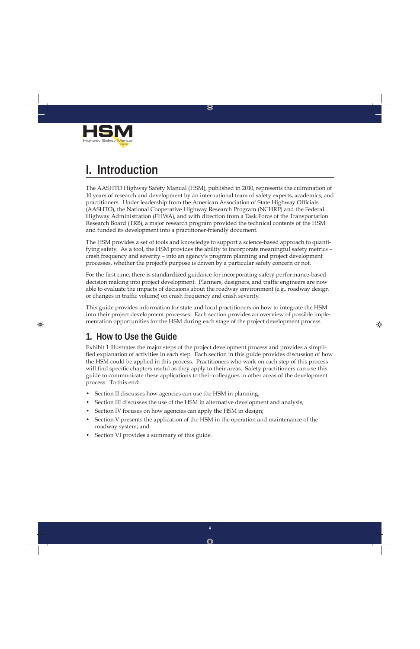

## **I. Introduction**

The AASHTO Highway Safety Manual (HSM), published in 2010, represents the culmination of 10 years of research and development by an international team of safety experts, academics, and practitioners. Under leadership from the American Association of State Highway Officials (AASHTO), the National Cooperative Highway Research Program (NCHRP) and the Federal Highway Administration (FHWA), and with direction from a Task Force of the Transportation Research Board (TRB), a major research program provided the technical contents of the HSM and funded its development into a practitioner-friendly document.

The HSM provides a set of tools and knowledge to support a science-based approach to quantifying safety. As a tool, the HSM provides the ability to incorporate meaningful safety metrics – crash frequency and severity – into an agency's program planning and project development processes, whether the project's purpose is driven by a particular safety concern or not.

For the first time, there is standardized guidance for incorporating safety performance-based decision making into project development. Planners, designers, and traffic engineers are now able to evaluate the impacts of decisions about the roadway environment (e.g., roadway design or changes in traffic volume) on crash frequency and crash severity.

This guide provides information for state and local practitioners on how to integrate the HSM into their project development processes. Each section provides an overview of possible implementation opportunities for the HSM during each stage of the project development process.

### **1. How to Use the Guide**

Exhibit 1 illustrates the major steps of the project development process and provides a simplified explanation of activities in each step. Each section in this guide provides discussion of how the HSM could be applied in this process. Practitioners who work on each step of this process will find specific chapters useful as they apply to their areas. Safety practitioners can use this guide to communicate these applications to their colleagues in other areas of the development process. To this end:

- Section II discusses how agencies can use the HSM in planning;
- Section III discusses the use of the HSM in alternative development and analysis;
- Section IV focuses on how agencies can apply the HSM in design;
- Section V presents the application of the HSM in the operation and maintenance of the roadway system; and
- Section VI provides a summary of this guide.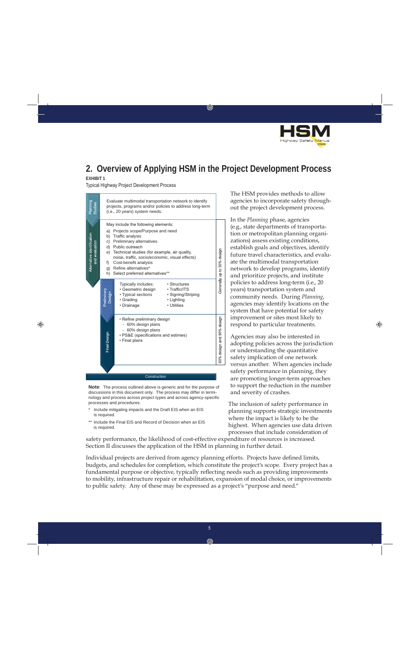

### **2. Overview of Applying HSM in the Project Development Process**

#### **EXHIBIT 1**

Typical Highway Project Development Process



**Note**: The process outlined above is generic and for the purpose of discussions in this document only. The process may differ in terminology and process across project types and across agency-specific processes and procedures.

- Include mitigating impacts and the Draft EIS when an EIS is required.
- \*\* Include the Final EIS and Record of Decision when an EIS is required.

safety performance, the likelihood of cost-effective expenditure of resources is increased. Section II discusses the application of the HSM in planning in further detail.

Individual projects are derived from agency planning efforts. Projects have defined limits, budgets, and schedules for completion, which constitute the project's scope. Every project has a fundamental purpose or objective, typically reflecting needs such as providing improvements to mobility, infrastructure repair or rehabilitation, expansion of modal choice, or improvements to public safety. Any of these may be expressed as a project's "purpose and need."

The HSM provides methods to allow agencies to incorporate safety throughout the project development process.

In the *Planning* phase, agencies (e.g., state departments of transportation or metropolitan planning organizations) assess existing conditions, establish goals and objectives, identify future travel characteristics, and evaluate the multimodal transportation network to develop programs, identify and prioritize projects, and institute policies to address long-term (i.e., 20 years) transportation system and community needs. During *Planning*, agencies may identify locations on the system that have potential for safety improvement or sites most likely to respond to particular treatments.

Agencies may also be interested in adopting policies across the jurisdiction or understanding the quantitative safety implication of one network versus another. When agencies include safety performance in planning, they are promoting longer-term approaches to support the reduction in the number and severity of crashes.

The inclusion of safety performance in planning supports strategic investments where the impact is likely to be the highest. When agencies use data driven processes that include consideration of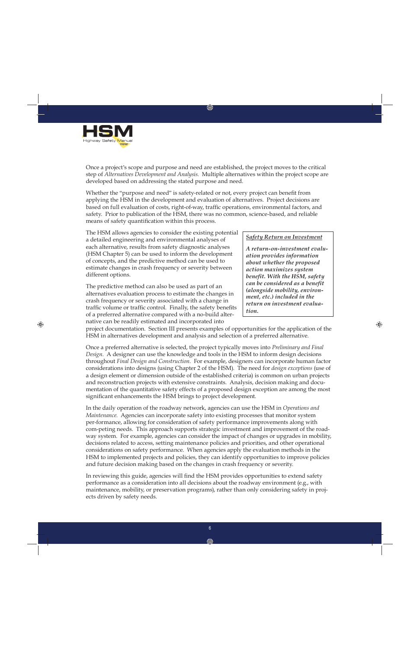

Once a project's scope and purpose and need are established, the project moves to the critical step of *Alternatives Development and Analysis*. Multiple alternatives within the project scope are developed based on addressing the stated purpose and need.

Whether the "purpose and need" is safety-related or not, every project can benefit from applying the HSM in the development and evaluation of alternatives. Project decisions are based on full evaluation of costs, right-of-way, traffic operations, environmental factors, and safety. Prior to publication of the HSM, there was no common, science-based, and reliable means of safety quantification within this process.

The HSM allows agencies to consider the existing potential a detailed engineering and environmental analyses of each alternative, results from safety diagnostic analyses (HSM Chapter 5) can be used to inform the development of concepts, and the predictive method can be used to estimate changes in crash frequency or severity between different options.

The predictive method can also be used as part of an alternatives evaluation process to estimate the changes in crash frequency or severity associated with a change in traffic volume or traffic control. Finally, the safety benefits of a preferred alternative compared with a no-build alternative can be readily estimated and incorporated into

*Safety Return on Investment*

*A return-on-investment evaluation provides information about whether the proposed action maximizes system benefit.* With the HSM, safety *can be considered as a benefi t (alongside mobility, environment, etc.) included in the return on investment evaluation.*

project documentation. Section III presents examples of opportunities for the application of the HSM in alternatives development and analysis and selection of a preferred alternative.

Once a preferred alternative is selected, the project typically moves into *Preliminary and Final Design*. A designer can use the knowledge and tools in the HSM to inform design decisions throughout *Final Design and Construction*. For example, designers can incorporate human factor considerations into designs (using Chapter 2 of the HSM). The need for *design exceptions* (use of a design element or dimension outside of the established criteria) is common on urban projects and reconstruction projects with extensive constraints. Analysis, decision making and documentation of the quantitative safety effects of a proposed design exception are among the most significant enhancements the HSM brings to project development.

In the daily operation of the roadway network, agencies can use the HSM in *Operations and Maintenance*. Agencies can incorporate safety into existing processes that monitor system per-formance, allowing for consideration of safety performance improvements along with com-peting needs. This approach supports strategic investment and improvement of the roadway system. For example, agencies can consider the impact of changes or upgrades in mobility, decisions related to access, setting maintenance policies and priorities, and other operational considerations on safety performance. When agencies apply the evaluation methods in the HSM to implemented projects and policies, they can identify opportunities to improve policies and future decision making based on the changes in crash frequency or severity.

In reviewing this guide, agencies will find the HSM provides opportunities to extend safety performance as a consideration into all decisions about the roadway environment (e.g., with maintenance, mobility, or preservation programs), rather than only considering safety in projects driven by safety needs.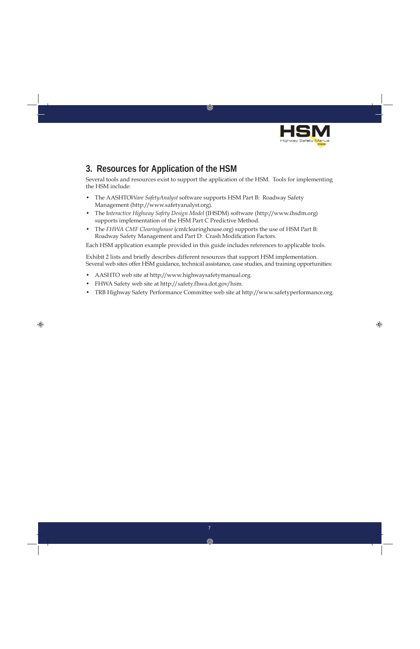

### **3. Resources for Application of the HSM**

Several tools and resources exist to support the application of the HSM. Tools for implementing the HSM include:

- The AASHTO*Ware SafetyAnalyst* software supports HSM Part B: Roadway Safety Management (http://www.safetyanalyst.org).
- The I*nteractive Highway Safety Design Model* (IHSDM) software (http://www.ihsdm.org) supports implementation of the HSM Part C Predictive Method.
- The *FHWA CMF Clearinghouse* (cmfclearinghouse.org) supports the use of HSM Part B: Roadway Safety Management and Part D: Crash Modification Factors.

Each HSM application example provided in this guide includes references to applicable tools.

Exhibit 2 lists and briefly describes different resources that support HSM implementation. Several web sites offer HSM guidance, technical assistance, case studies, and training opportunities:

- AASHTO web site at http://www.highwaysafetymanual.org.
- FHWA Safety web site at http://safety.fhwa.dot.gov/hsm.
- TRB Highway Safety Performance Committee web site at http://www.safetyperformance.org.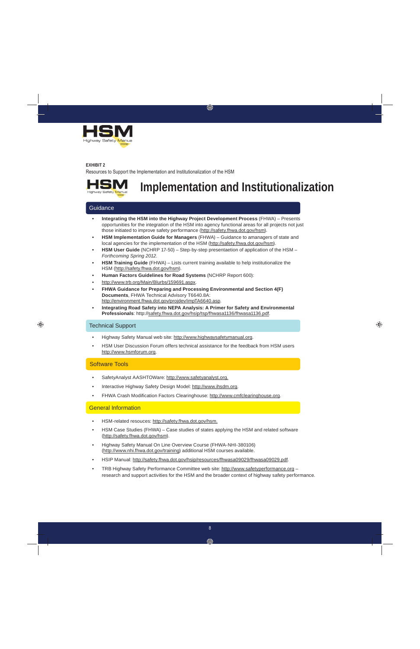

#### **EXHIBIT 2**

Resources to Support the Implementation and Institutionalization of the HSM



## **Implementation and Institutionalization**

#### **Guidance**

- **Integrating the HSM into the Highway Project Development Process** (FHWA) Presents opportunities for the integration of the HSM into agency functional areas for all projects not just those initiated to improve safety performance (http://safety.fhwa.dot.gov/hsm).
- **HSM Implementation Guide for Managers** (FHWA) Guidance to amanagers of state and local agencies for the implementation of the HSM (http://safety.fhwa.dot.gov/hsm).
- **HSM User Guide** (NCHRP 17-50) Step-by-step presentaetion of application of the HSM *Forthcoming Spring 2012.*
- **HSM Training Guide** (FHWA) Lists current training available to help institutionalize the HSM (http://safety.fhwa.dot.gov/hsm).
- **Human Factors Guidelines for Road Systems** (NCHRP Report 600):
- http://www.trb.org/Main/Blurbs/159691.aspx.
- **FHWA Guidance for Preparing and Processing Environmental and Section 4(F) Documents**, FHWA Technical Advisory T6640.8A: http://environment.fhwa.dot.gov/projdev/impTA6640.asp.
- **Integrating Road Safety into NEPA Analysis: A Primer for Safety and Environmental Professionals**: http://safety.fhwa.dot.gov/hsip/tsp/fhwasa1136/fhwasa1136.pdf.

#### Technical Support

- Highway Safety Manual web site: http://www.highwaysafetymanual.org.
- HSM User Discussion Forum offers technical assistance for the feedback from HSM users http://www.hsmforum.org.

#### Software Tools

- SafetyAnalyst AASHTOWare: http://www.safetyanalyst.org.
- Interactive Highway Safety Design Model: http://www.ihsdm.org.
- FHWA Crash Modification Factors Clearinghouse: http://www.cmfclearinghouse.org.

#### **General Information**

- HSM-related resouces: http://safety.fhwa.dot.gov/hsm.
- HSM Case Studies (FHWA) Case studies of states applying the HSM and related software (http://safety.fhwa.dot.gov/hsm).
- Highway Safety Manual On Line Overview Course (FHWA-NHI-380106) (http://www.nhi.fhwa.dot.gov/training) additional HSM courses available.
- HSIP Manual: http://safety.fhwa.dot.gov/hsip/resources/fhwasa09029/fhwasa09029.pdf.
- TRB Highway Safety Performance Committee web site: http://www.safetyperformance.org research and support activities for the HSM and the broader context of highway safety performance.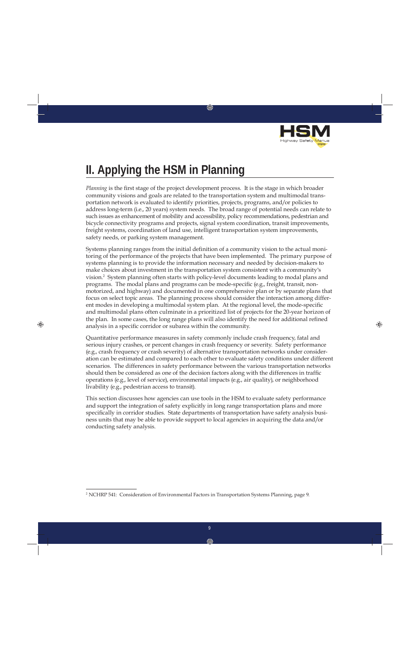

## **II. Applying the HSM in Planning**

*Planning* is the first stage of the project development process. It is the stage in which broader community visions and goals are related to the transportation system and multimodal transportation network is evaluated to identify priorities, projects, programs, and/or policies to address long-term (i.e., 20 years) system needs. The broad range of potential needs can relate to such issues as enhancement of mobility and accessibility, policy recommendations, pedestrian and bicycle connectivity programs and projects, signal system coordination, transit improvements, freight systems, coordination of land use, intelligent transportation system improvements, safety needs, or parking system management.

Systems planning ranges from the initial definition of a community vision to the actual monitoring of the performance of the projects that have been implemented. The primary purpose of systems planning is to provide the information necessary and needed by decision-makers to make choices about investment in the transportation system consistent with a community's vision.<sup>2</sup> System planning often starts with policy-level documents leading to modal plans and programs. The modal plans and programs can be mode-specific (e.g., freight, transit, nonmotorized, and highway) and documented in one comprehensive plan or by separate plans that focus on select topic areas. The planning process should consider the interaction among different modes in developing a multimodal system plan. At the regional level, the mode-specific and multimodal plans often culminate in a prioritized list of projects for the 20-year horizon of the plan. In some cases, the long range plans will also identify the need for additional refined analysis in a specific corridor or subarea within the community.

Quantitative performance measures in safety commonly include crash frequency, fatal and serious injury crashes, or percent changes in crash frequency or severity. Safety performance (e.g., crash frequency or crash severity) of alternative transportation networks under consideration can be estimated and compared to each other to evaluate safety conditions under different scenarios. The differences in safety performance between the various transportation networks should then be considered as one of the decision factors along with the differences in traffic operations (e.g., level of service), environmental impacts (e.g., air quality), or neighborhood livability (e.g., pedestrian access to transit).

This section discusses how agencies can use tools in the HSM to evaluate safety performance and support the integration of safety explicitly in long range transportation plans and more specifically in corridor studies. State departments of transportation have safety analysis business units that may be able to provide support to local agencies in acquiring the data and/or conducting safety analysis.

<sup>2</sup> NCHRP 541: Consideration of Environmental Factors in Transportation Systems Planning, page 9.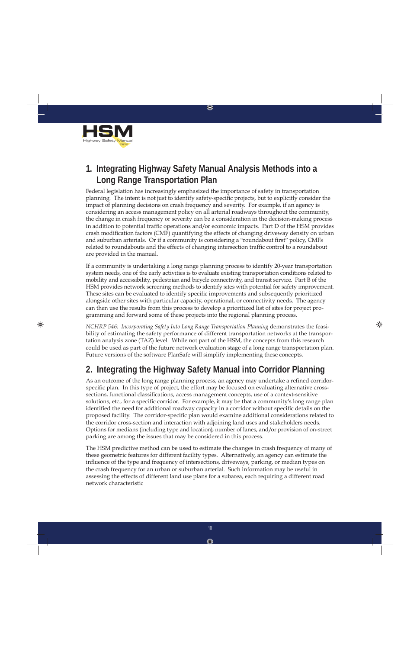

### **1. Integrating Highway Safety Manual Analysis Methods into a Long Range Transportation Plan**

Federal legislation has increasingly emphasized the importance of safety in transportation planning. The intent is not just to identify safety-specific projects, but to explicitly consider the impact of planning decisions on crash frequency and severity. For example, if an agency is considering an access management policy on all arterial roadways throughout the community, the change in crash frequency or severity can be a consideration in the decision-making process in addition to potential traffic operations and/or economic impacts. Part D of the HSM provides crash modification factors (CMF) quantifying the effects of changing driveway density on urban and suburban arterials. Or if a community is considering a "roundabout first" policy, CMFs related to roundabouts and the effects of changing intersection traffic control to a roundabout are provided in the manual.

If a community is undertaking a long range planning process to identify 20-year transportation system needs, one of the early activities is to evaluate existing transportation conditions related to mobility and accessibility, pedestrian and bicycle connectivity, and transit service. Part B of the HSM provides network screening methods to identify sites with potential for safety improvement. These sites can be evaluated to identify specific improvements and subsequently prioritized alongside other sites with particular capacity, operational, or connectivity needs. The agency can then use the results from this process to develop a prioritized list of sites for project programming and forward some of these projects into the regional planning process.

*NCHRP 546: Incorporating Safety Into Long Range Transportation Planning* demonstrates the feasibility of estimating the safety performance of different transportation networks at the transportation analysis zone (TAZ) level. While not part of the HSM, the concepts from this research could be used as part of the future network evaluation stage of a long range transportation plan. Future versions of the software PlanSafe will simplify implementing these concepts.

### **2. Integrating the Highway Safety Manual into Corridor Planning**

As an outcome of the long range planning process, an agency may undertake a refined corridorspecific plan. In this type of project, the effort may be focused on evaluating alternative crosssections, functional classifications, access management concepts, use of a context-sensitive solutions, etc., for a specific corridor. For example, it may be that a community's long range plan identified the need for additional roadway capacity in a corridor without specific details on the proposed facility. The corridor-specific plan would examine additional considerations related to the corridor cross-section and interaction with adjoining land uses and stakeholders needs. Options for medians (including type and location), number of lanes, and/or provision of on-street parking are among the issues that may be considered in this process.

The HSM predictive method can be used to estimate the changes in crash frequency of many of these geometric features for different facility types. Alternatively, an agency can estimate the influence of the type and frequency of intersections, driveways, parking, or median types on the crash frequency for an urban or suburban arterial. Such information may be useful in assessing the effects of different land use plans for a subarea, each requiring a different road network characteristic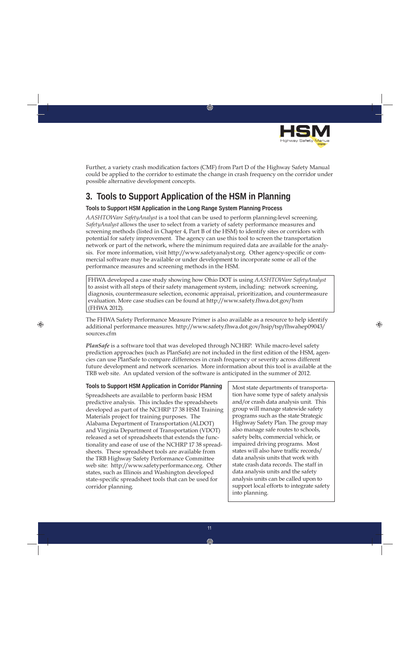

Further, a variety crash modification factors (CMF) from Part D of the Highway Safety Manual could be applied to the corridor to estimate the change in crash frequency on the corridor under possible alternative development concepts.

### **3. Tools to Support Application of the HSM in Planning**

**Tools to Support HSM Application in the Long Range System Planning Process**

*AASHTOWare SafetyAnalyst* is a tool that can be used to perform planning-level screening. *SafetyAnalyst* allows the user to select from a variety of safety performance measures and screening methods (listed in Chapter 4, Part B of the HSM) to identify sites or corridors with potential for safety improvement. The agency can use this tool to screen the transportation network or part of the network, where the minimum required data are available for the analysis. For more information, visit http://www.safetyanalyst.org. Other agency-specific or commercial software may be available or under development to incorporate some or all of the performance measures and screening methods in the HSM.

FHWA developed a case study showing how Ohio DOT is using *AASHTOWare SafetyAnalyst*  to assist with all steps of their safety management system, including: network screening, diagnosis, countermeasure selection, economic appraisal, prioritization, and countermeasure evaluation. More case studies can be found at http://www.safety.fhwa.dot.gov/hsm (FHWA 2012).

The FHWA Safety Performance Measure Primer is also available as a resource to help identify additional performance measures. http://www.safety.fhwa.dot.gov/hsip/tsp/fhwahep09043/ sources.cfm

*PlanSafe* is a software tool that was developed through NCHRP. While macro-level safety prediction approaches (such as PlanSafe) are not included in the first edition of the HSM, agencies can use PlanSafe to compare differences in crash frequency or severity across different future development and network scenarios. More information about this tool is available at the TRB web site. An updated version of the software is anticipated in the summer of 2012.

#### **Tools to Support HSM Application in Corridor Planning**

Spreadsheets are available to perform basic HSM predictive analysis. This includes the spreadsheets developed as part of the NCHRP 17 38 HSM Training Materials project for training purposes. The Alabama Department of Transportation (ALDOT) and Virginia Department of Transportation (VDOT) released a set of spreadsheets that extends the functionality and ease of use of the NCHRP 17 38 spreadsheets. These spreadsheet tools are available from the TRB Highway Safety Performance Committee web site: http://www.safetyperformance.org. Other states, such as Illinois and Washington developed state-specific spreadsheet tools that can be used for corridor planning.

Most state departments of transportation have some type of safety analysis and/or crash data analysis unit. This group will manage statewide safety programs such as the state Strategic Highway Safety Plan. The group may also manage safe routes to schools, safety belts, commercial vehicle, or impaired driving programs. Most states will also have traffic records/ data analysis units that work with state crash data records. The staff in data analysis units and the safety analysis units can be called upon to support local efforts to integrate safety into planning.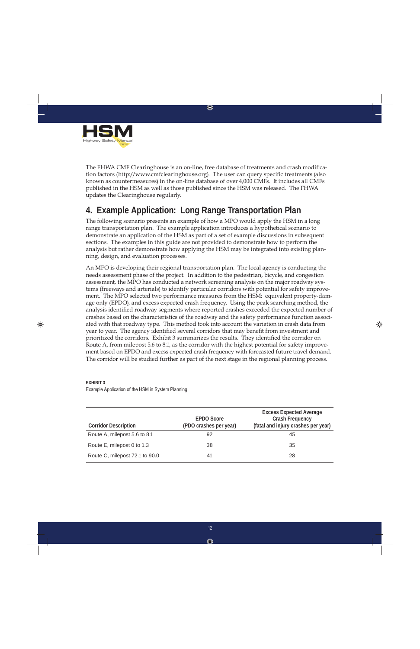

The FHWA CMF Clearinghouse is an on-line, free database of treatments and crash modification factors (http://www.cmfclearinghouse.org). The user can query specific treatments (also known as countermeasures) in the on-line database of over 4,000 CMFs. It includes all CMFs published in the HSM as well as those published since the HSM was released. The FHWA updates the Clearinghouse regularly.

### **4. Example Application: Long Range Transportation Plan**

The following scenario presents an example of how a MPO would apply the HSM in a long range transportation plan. The example application introduces a hypothetical scenario to demonstrate an application of the HSM as part of a set of example discussions in subsequent sections. The examples in this guide are not provided to demonstrate how to perform the analysis but rather demonstrate how applying the HSM may be integrated into existing planning, design, and evaluation processes.

An MPO is developing their regional transportation plan. The local agency is conducting the needs assessment phase of the project. In addition to the pedestrian, bicycle, and congestion assessment, the MPO has conducted a network screening analysis on the major roadway systems (freeways and arterials) to identify particular corridors with potential for safety improvement. The MPO selected two performance measures from the HSM: equivalent property-damage only (EPDO), and excess expected crash frequency. Using the peak searching method, the analysis identified roadway segments where reported crashes exceeded the expected number of crashes based on the characteristics of the roadway and the safety performance function associated with that roadway type. This method took into account the variation in crash data from year to year. The agency identified several corridors that may benefit from investment and prioritized the corridors. Exhibit 3 summarizes the results. They identified the corridor on Route A, from milepost 5.6 to 8.1, as the corridor with the highest potential for safety improvement based on EPDO and excess expected crash frequency with forecasted future travel demand. The corridor will be studied further as part of the next stage in the regional planning process.

| <b>Corridor Description</b>    | <b>EPDO Score</b><br>(PDO crashes per year) | <b>Excess Expected Average</b><br><b>Crash Frequency</b><br>(fatal and injury crashes per year) |
|--------------------------------|---------------------------------------------|-------------------------------------------------------------------------------------------------|
| Route A, milepost 5.6 to 8.1   | 92                                          | 45                                                                                              |
| Route E, milepost 0 to 1.3     | 38                                          | 35                                                                                              |
| Route C, milepost 72.1 to 90.0 | 41                                          | 28                                                                                              |

**EXHIBIT 3** Example Application of the HSM in System Planning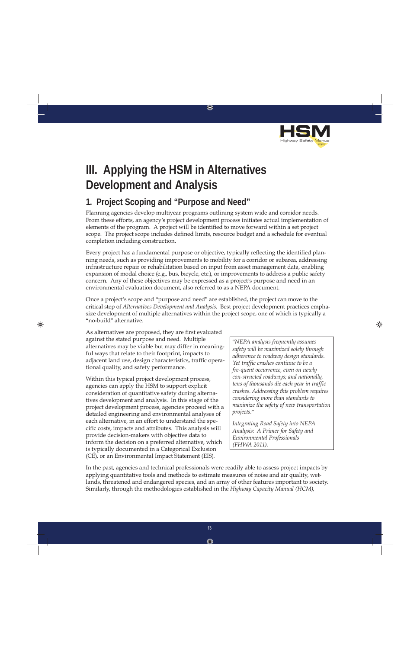

## **III. Applying the HSM in Alternatives Development and Analysis**

### **1. Project Scoping and "Purpose and Need"**

Planning agencies develop multiyear programs outlining system wide and corridor needs. From these efforts, an agency's project development process initiates actual implementation of elements of the program. A project will be identified to move forward within a set project scope. The project scope includes defined limits, resource budget and a schedule for eventual completion including construction.

Every project has a fundamental purpose or objective, typically reflecting the identified planning needs, such as providing improvements to mobility for a corridor or subarea, addressing infrastructure repair or rehabilitation based on input from asset management data, enabling expansion of modal choice (e.g., bus, bicycle, etc.), or improvements to address a public safety concern. Any of these objectives may be expressed as a project's purpose and need in an environmental evaluation document, also referred to as a NEPA document.

Once a project's scope and "purpose and need" are established, the project can move to the critical step of *Alternatives Development and Analysis*. Best project development practices emphasize development of multiple alternatives within the project scope, one of which is typically a "no-build" alternative.

As alternatives are proposed, they are first evaluated against the stated purpose and need. Multiple alternatives may be viable but may differ in meaningful ways that relate to their footprint, impacts to adjacent land use, design characteristics, traffic operational quality, and safety performance.

Within this typical project development process, agencies can apply the HSM to support explicit consideration of quantitative safety during alternatives development and analysis. In this stage of the project development process, agencies proceed with a detailed engineering and environmental analyses of each alternative, in an effort to understand the specific costs, impacts and attributes. This analysis will provide decision-makers with objective data to inform the decision on a preferred alternative, which is typically documented in a Categorical Exclusion (CE), or an Environmental Impact Statement (EIS).

"*NEPA analysis frequently assumes safety will be maximized solely through adherence to roadway design standards. Yet traffic crashes continue to be a fre-quent occurrence, even on newly con-structed roadways; and nationally, tens of thousands die each year in traffic crashes. Addressing this problem requires considering more than standards to maximize the safety of new transportation projects.*"

*Integrating Road Safety into NEPA Analysis: A Primer for Safety and Environmental Professionals (FHWA 2011).*

In the past, agencies and technical professionals were readily able to assess project impacts by applying quantitative tools and methods to estimate measures of noise and air quality, wetlands, threatened and endangered species, and an array of other features important to society. Similarly, through the methodologies established in the *Highway Capacity Manual (HCM)*,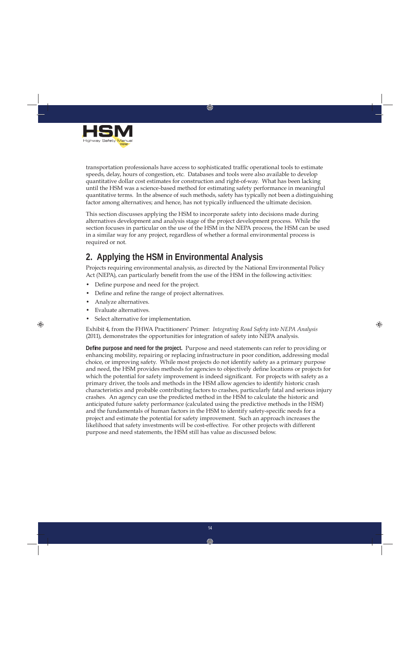

transportation professionals have access to sophisticated traffic operational tools to estimate speeds, delay, hours of congestion, etc. Databases and tools were also available to develop quantitative dollar cost estimates for construction and right-of-way. What has been lacking until the HSM was a science-based method for estimating safety performance in meaningful quantitative terms. In the absence of such methods, safety has typically not been a distinguishing factor among alternatives; and hence, has not typically influenced the ultimate decision.

This section discusses applying the HSM to incorporate safety into decisions made during alternatives development and analysis stage of the project development process. While the section focuses in particular on the use of the HSM in the NEPA process, the HSM can be used in a similar way for any project, regardless of whether a formal environmental process is required or not.

### **2. Applying the HSM in Environmental Analysis**

Projects requiring environmental analysis, as directed by the National Environmental Policy Act (NEPA), can particularly benefit from the use of the HSM in the following activities:

- Define purpose and need for the project.
- Define and refine the range of project alternatives.
- Analyze alternatives.
- Evaluate alternatives.
- Select alternative for implementation.

Exhibit 4, from the FHWA Practitioners' Primer: *Integrating Road Safety into NEPA Analysis* (2011), demonstrates the opportunities for integration of safety into NEPA analysis.

**Defi ne purpose and need for the project.** Purpose and need statements can refer to providing or enhancing mobility, repairing or replacing infrastructure in poor condition, addressing modal choice, or improving safety. While most projects do not identify safety as a primary purpose and need, the HSM provides methods for agencies to objectively define locations or projects for which the potential for safety improvement is indeed significant. For projects with safety as a primary driver, the tools and methods in the HSM allow agencies to identify historic crash characteristics and probable contributing factors to crashes, particularly fatal and serious injury crashes. An agency can use the predicted method in the HSM to calculate the historic and anticipated future safety performance (calculated using the predictive methods in the HSM) and the fundamentals of human factors in the HSM to identify safety-specific needs for a project and estimate the potential for safety improvement. Such an approach increases the likelihood that safety investments will be cost-effective. For other projects with different purpose and need statements, the HSM still has value as discussed below.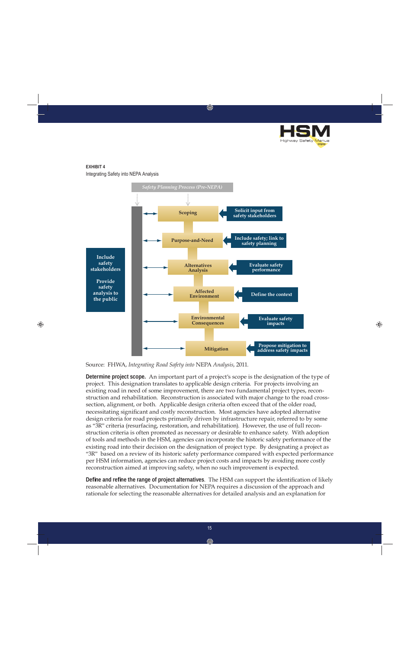

**EXHIBIT 4** Integrating Safety into NEPA Analysis



Source: FHWA, *Integrating Road Safety into* NEPA *Analysis*, 2011.

**Determine project scope.** An important part of a project's scope is the designation of the type of project. This designation translates to applicable design criteria. For projects involving an existing road in need of some improvement, there are two fundamental project types, reconstruction and rehabilitation. Reconstruction is associated with major change to the road crosssection, alignment, or both. Applicable design criteria often exceed that of the older road, necessitating significant and costly reconstruction. Most agencies have adopted alternative design criteria for road projects primarily driven by infrastructure repair, referred to by some as "3R" criteria (resurfacing, restoration, and rehabilitation). However, the use of full reconstruction criteria is often promoted as necessary or desirable to enhance safety. With adoption of tools and methods in the HSM, agencies can incorporate the historic safety performance of the existing road into their decision on the designation of project type. By designating a project as "3R" based on a review of its historic safety performance compared with expected performance per HSM information, agencies can reduce project costs and impacts by avoiding more costly reconstruction aimed at improving safety, when no such improvement is expected.

**Define and refine the range of project alternatives. The HSM can support the identification of likely** reasonable alternatives. Documentation for NEPA requires a discussion of the approach and rationale for selecting the reasonable alternatives for detailed analysis and an explanation for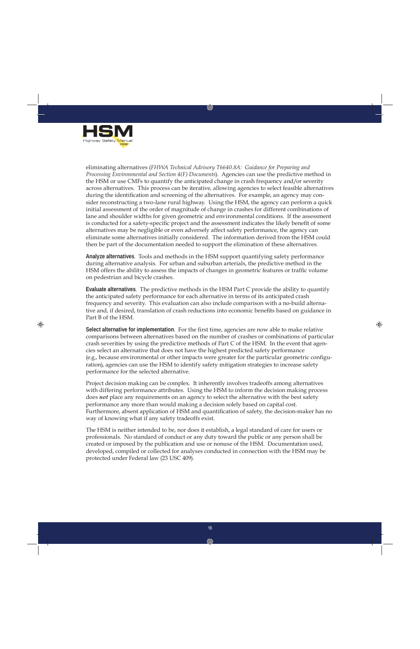

eliminating alternatives (*FHWA Technical Advisory T6640.8A: Guidance for Preparing and Processing Environmental and Section 4(F) Documents*). Agencies can use the predictive method in the HSM or use CMFs to quantify the anticipated change in crash frequency and/or severity across alternatives. This process can be iterative, allowing agencies to select feasible alternatives during the identification and screening of the alternatives. For example, an agency may consider reconstructing a two-lane rural highway. Using the HSM, the agency can perform a quick initial assessment of the order of magnitude of change in crashes for different combinations of lane and shoulder widths for given geometric and environmental conditions. If the assessment is conducted for a safety-specific project and the assessment indicates the likely benefit of some alternatives may be negligible or even adversely affect safety performance, the agency can eliminate some alternatives initially considered. The information derived from the HSM could then be part of the documentation needed to support the elimination of these alternatives.

**Analyze alternatives**. Tools and methods in the HSM support quantifying safety performance during alternative analysis. For urban and suburban arterials, the predictive method in the HSM offers the ability to assess the impacts of changes in geometric features or traffic volume on pedestrian and bicycle crashes.

**Evaluate alternatives**. The predictive methods in the HSM Part C provide the ability to quantify the anticipated safety performance for each alternative in terms of its anticipated crash frequency and severity. This evaluation can also include comparison with a no-build alternative and, if desired, translation of crash reductions into economic benefits based on guidance in Part B of the HSM.

**Select alternative for implementation.** For the first time, agencies are now able to make relative comparisons between alternatives based on the number of crashes or combinations of particular crash severities by using the predictive methods of Part C of the HSM. In the event that agencies select an alternative that does not have the highest predicted safety performance (e.g., because environmental or other impacts were greater for the particular geometric configuration), agencies can use the HSM to identify safety mitigation strategies to increase safety performance for the selected alternative.

Project decision making can be complex. It inherently involves tradeoffs among alternatives with differing performance attributes. Using the HSM to inform the decision making process does *not* place any requirements on an agency to select the alternative with the best safety performance any more than would making a decision solely based on capital cost. Furthermore, absent application of HSM and quantification of safety, the decision-maker has no way of knowing what if any safety tradeoffs exist.

The HSM is neither intended to be, nor does it establish, a legal standard of care for users or professionals. No standard of conduct or any duty toward the public or any person shall be created or imposed by the publication and use or nonuse of the HSM. Documentation used, developed, compiled or collected for analyses conducted in connection with the HSM may be protected under Federal law (23 USC 409).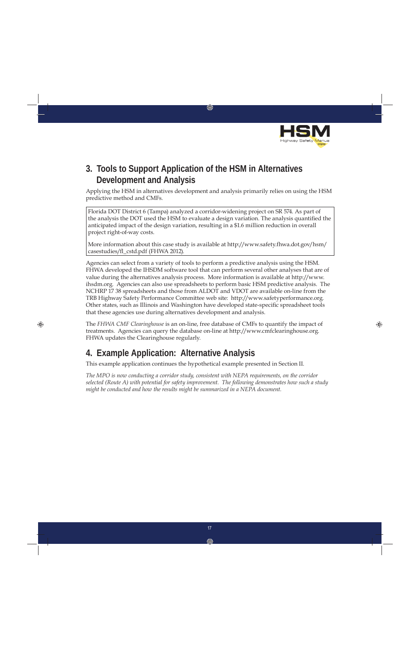

### **3. Tools to Support Application of the HSM in Alternatives Development and Analysis**

Applying the HSM in alternatives development and analysis primarily relies on using the HSM predictive method and CMFs.

Florida DOT District 6 (Tampa) analyzed a corridor-widening project on SR 574. As part of the analysis the DOT used the HSM to evaluate a design variation. The analysis quantified the anticipated impact of the design variation, resulting in a \$1.6 million reduction in overall project right-of-way costs.

More information about this case study is available at http://www.safety.fhwa.dot.gov/hsm/ casestudies/fl \_cstd.pdf (FHWA 2012).

Agencies can select from a variety of tools to perform a predictive analysis using the HSM. FHWA developed the IHSDM software tool that can perform several other analyses that are of value during the alternatives analysis process. More information is available at http://www. ihsdm.org. Agencies can also use spreadsheets to perform basic HSM predictive analysis. The NCHRP 17 38 spreadsheets and those from ALDOT and VDOT are available on-line from the TRB Highway Safety Performance Committee web site: http://www.safetyperformance.org. Other states, such as Illinois and Washington have developed state-specific spreadsheet tools that these agencies use during alternatives development and analysis.

The *FHWA CMF Clearinghouse* is an on-line, free database of CMFs to quantify the impact of treatments. Agencies can query the database on-line at http://www.cmfclearinghouse.org. FHWA updates the Clearinghouse regularly.

### **4. Example Application: Alternative Analysis**

This example application continues the hypothetical example presented in Section II.

*The MPO is now conducting a corridor study, consistent with NEPA requirements, on the corridor selected (Route A) with potential for safety improvement. The following demonstrates how such a study might be conducted and how the results might be summarized in a NEPA document.*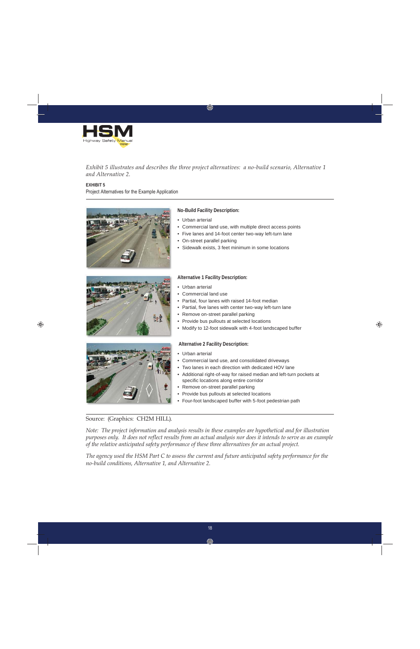

#### *Exhibit 5 illustrates and describes the three project alternatives: a no-build scenario, Alternative 1 and Alternative 2.*

**EXHIBIT 5** Project Alternatives for the Example Application



**No-Build Facility Description:**

- Urban arterial
- Commercial land use, with multiple direct access points
- Five lanes and 14-foot center two-way left-turn lane
- On-street parallel parking
- Sidewalk exists, 3 feet minimum in some locations



**Alternative 1 Facility Description:**

- Urban arterial
- Commercial land use
- Partial, four lanes with raised 14-foot median
- Partial, five lanes with center two-way left-turn lane
- Remove on-street parallel parking
- Provide bus pullouts at selected locations
- Modify to 12-foot sidewalk with 4-foot landscaped buffer

#### **Alternative 2 Facility Description:**

- Urban arterial
- Commercial land use, and consolidated driveways
- Two lanes in each direction with dedicated HOV lane
- Additional right-of-way for raised median and left-turn pockets at specific locations along entire corridor
- Remove on-street parallel parking
- Provide bus pullouts at selected locations
- Four-foot landscaped buffer with 5-foot pedestrian path

#### Source: (Graphics: CH2M HILL).

*Note: The project information and analysis results in these examples are hypothetical and for illustration purposes only. It does not reflect results from an actual analysis nor does it intends to serve as an example of the relative anticipated safety performance of these three alternatives for an actual project.*

*The agency used the HSM Part C to assess the current and future anticipated safety performance for the no-build conditions, Alternative 1, and Alternative 2.*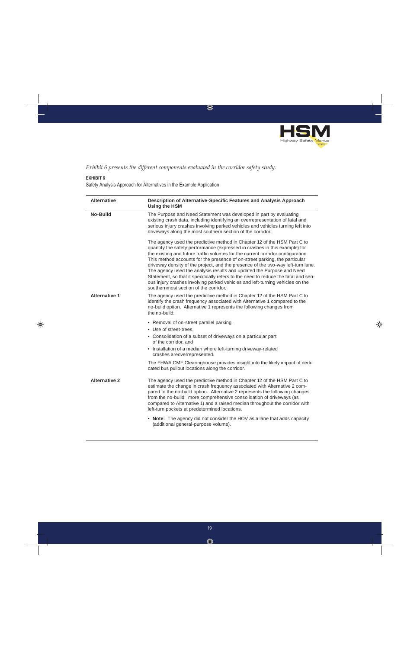

*Exhibit 6 presents the different components evaluated in the corridor safety study.*

#### **EXHIBIT 6**

Safety Analysis Approach for Alternatives in the Example Application

| <b>Alternative</b>   | Description of Alternative-Specific Features and Analysis Approach<br><b>Using the HSM</b>                                                                                                                                                                                                                                                                                                                                                                                                                                                                                                                                                                                                            |
|----------------------|-------------------------------------------------------------------------------------------------------------------------------------------------------------------------------------------------------------------------------------------------------------------------------------------------------------------------------------------------------------------------------------------------------------------------------------------------------------------------------------------------------------------------------------------------------------------------------------------------------------------------------------------------------------------------------------------------------|
| <b>No-Build</b>      | The Purpose and Need Statement was developed in part by evaluating<br>existing crash data, including identifying an overrepresentation of fatal and<br>serious injury crashes involving parked vehicles and vehicles turning left into<br>driveways along the most southern section of the corridor.                                                                                                                                                                                                                                                                                                                                                                                                  |
|                      | The agency used the predictive method in Chapter 12 of the HSM Part C to<br>quantify the safety performance (expressed in crashes in this example) for<br>the existing and future traffic volumes for the current corridor configuration.<br>This method accounts for the presence of on-street parking, the particular<br>driveway density of the project, and the presence of the two-way left-turn lane.<br>The agency used the analysis results and updated the Purpose and Need<br>Statement, so that it specifically refers to the need to reduce the fatal and seri-<br>ous injury crashes involving parked vehicles and left-turning vehicles on the<br>southernmost section of the corridor. |
| <b>Alternative 1</b> | The agency used the predictive method in Chapter 12 of the HSM Part C to<br>identify the crash frequency associated with Alternative 1 compared to the<br>no-build option. Alternative 1 represents the following changes from<br>the no-build:                                                                                                                                                                                                                                                                                                                                                                                                                                                       |
|                      | • Removal of on-street parallel parking,                                                                                                                                                                                                                                                                                                                                                                                                                                                                                                                                                                                                                                                              |
|                      | • Use of street-trees,<br>• Consolidation of a subset of driveways on a particular part<br>of the corridor, and                                                                                                                                                                                                                                                                                                                                                                                                                                                                                                                                                                                       |
|                      | • Installation of a median where left-turning driveway-related<br>crashes areoverrepresented.                                                                                                                                                                                                                                                                                                                                                                                                                                                                                                                                                                                                         |
|                      | The FHWA CMF Clearinghouse provides insight into the likely impact of dedi-<br>cated bus pullout locations along the corridor.                                                                                                                                                                                                                                                                                                                                                                                                                                                                                                                                                                        |
| <b>Alternative 2</b> | The agency used the predictive method in Chapter 12 of the HSM Part C to<br>estimate the change in crash frequency associated with Alternative 2 com-<br>pared to the no-build option. Alternative 2 represents the following changes<br>from the no-build: more comprehensive consolidation of driveways (as<br>compared to Alternative 1) and a raised median throughout the corridor with<br>left-turn pockets at predetermined locations.                                                                                                                                                                                                                                                         |
|                      | • Note: The agency did not consider the HOV as a lane that adds capacity<br>(additional general-purpose volume).                                                                                                                                                                                                                                                                                                                                                                                                                                                                                                                                                                                      |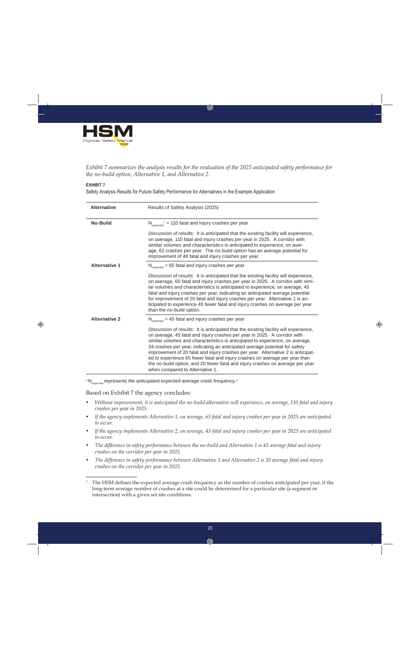

*Exhibit 7 summarizes the analysis results for the evaluation of the 2025 anticipated safety performance for the no-build option, Alternative 1, and Alternative 2.*

**EXHIBIT 7**

Safety Analysis Results for Future Safety Performance for Alternatives in the Example Application

| <b>Alternative</b>   | Results of Safety Analysis (2025)                                                                                                                                                                                                                                                                                                                                                                                                                                                                                                                                                                                         |
|----------------------|---------------------------------------------------------------------------------------------------------------------------------------------------------------------------------------------------------------------------------------------------------------------------------------------------------------------------------------------------------------------------------------------------------------------------------------------------------------------------------------------------------------------------------------------------------------------------------------------------------------------------|
| <b>No-Build</b>      | $N_{\text{expected}}^{\text{+}}$ = 110 fatal and injury crashes per year                                                                                                                                                                                                                                                                                                                                                                                                                                                                                                                                                  |
|                      | Discussion of results: It is anticipated that the existing facility will experience,<br>on average, 110 fatal and injury crashes per year in 2025. A corridor with<br>similar volumes and characteristics is anticipated to experience, on aver-<br>age, 62 crashes per year. The no-build option has an average potential for<br>improvement of 48 fatal and injury crashes per year.                                                                                                                                                                                                                                    |
| <b>Alternative 1</b> | $N_{\text{expected}} = 65$ fatal and injury crashes per year                                                                                                                                                                                                                                                                                                                                                                                                                                                                                                                                                              |
|                      | Discussion of results: It is anticipated that the existing facility will experience,<br>on average, 65 fatal and injury crashes per year in 2025. A corridor with simi-<br>lar volumes and characteristics is anticipated to experience, on average, 45<br>fatal and injury crashes per year, indicating an anticipated average potential<br>for improvement of 20 fatal and injury crashes per year. Alternative 1 is an-<br>ticipated to experience 45 fewer fatal and injury crashes on average per year<br>than the no-build option.                                                                                  |
| <b>Alternative 2</b> | $N_{\text{expected}} = 45$ fatal and injury crashes per year                                                                                                                                                                                                                                                                                                                                                                                                                                                                                                                                                              |
|                      | Discussion of results: It is anticipated that the existing facility will experience,<br>on average, 45 fatal and injury crashes per year in 2025. A corridor with<br>similar volumes and characteristics is anticipated to experience, on average,<br>34 crashes per year, indicating an anticipated average potential for safety<br>improvement of 20 fatal and injury crashes per year. Alternative 2 is anticipat-<br>ed to experience 65 fewer fatal and injury crashes on average per year than<br>the no-build option, and 20 fewer fatal and injury crashes on average per year<br>when compared to Alternative 1. |

 $^{\pm}$ N<sub>expected</sub> represents the anticipated expected average crash frequency.<sup>3</sup>

Based on Exhibit 7 the agency concludes:

- *Without improvement, it is anticipated the no-build alternative will experience, on average, 110 fatal and injury crashes per year in 2025.*
- *If the agency implements Alternative 1, on average, 65 fatal and injury crashes per year in 2025 are anticipated to occur.*
- *If the agency implements Alternative 2, on average, 45 fatal and injury crashes per year in 2025 are anticipated to occur.*
- *The difference in safety performance between the no-build and Alternative 1 is 45 average fatal and injury crashes on the corridor per year in 2025.*
- *The difference in safety performance between Alternative 1 and Alternative 2 is 20 average fatal and injury crashes on the corridor per year in 2025.*

<sup>&</sup>lt;sup>3</sup> The HSM defines the expected average crash frequency as the number of crashes anticipated per year, if the long-term average number of crashes at a site could be determined for a particular site (a segment or intersection) with a given set site conditions.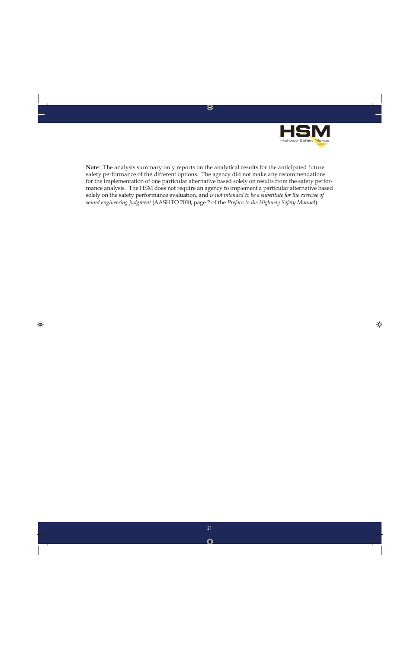

**Note**: The analysis summary only reports on the analytical results for the anticipated future safety performance of the different options. The agency did not make any recommendations for the implementation of one particular alternative based solely on results from the safety performance analysis. The HSM does not require an agency to implement a particular alternative based solely on the safety performance evaluation, and *is not intended to be a substitute for the exercise of sound engineering judgment* (AASHTO 2010; page 2 of the *Preface to the Highway Safety Manual*).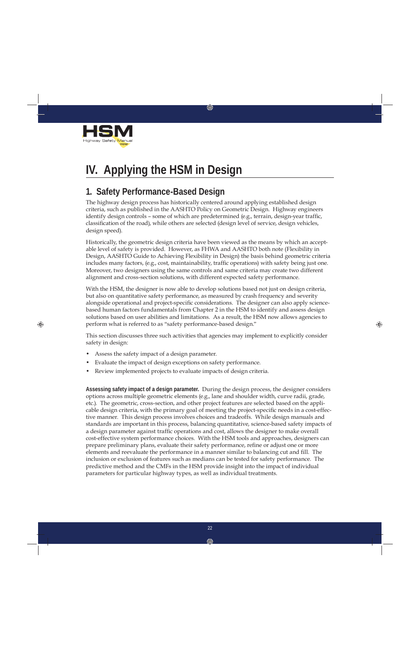

## **IV. Applying the HSM in Design**

### **1. Safety Performance-Based Design**

The highway design process has historically centered around applying established design criteria, such as published in the AASHTO Policy on Geometric Design. Highway engineers identify design controls - some of which are predetermined (e.g., terrain, design-year traffic, classification of the road), while others are selected (design level of service, design vehicles, design speed).

Historically, the geometric design criteria have been viewed as the means by which an acceptable level of safety is provided. However, as FHWA and AASHTO both note (Flexibility in Design, AASHTO Guide to Achieving Flexibility in Design) the basis behind geometric criteria includes many factors, (e.g., cost, maintainability, traffic operations) with safety being just one. Moreover, two designers using the same controls and same criteria may create two different alignment and cross-section solutions, with different expected safety performance.

With the HSM, the designer is now able to develop solutions based not just on design criteria, but also on quantitative safety performance, as measured by crash frequency and severity alongside operational and project-specific considerations. The designer can also apply sciencebased human factors fundamentals from Chapter 2 in the HSM to identify and assess design solutions based on user abilities and limitations. As a result, the HSM now allows agencies to perform what is referred to as "safety performance-based design."

This section discusses three such activities that agencies may implement to explicitly consider safety in design:

- Assess the safety impact of a design parameter.
- Evaluate the impact of design exceptions on safety performance.
- Review implemented projects to evaluate impacts of design criteria.

**Assessing safety impact of a design parameter.** During the design process, the designer considers options across multiple geometric elements (e.g., lane and shoulder width, curve radii, grade, etc.). The geometric, cross-section, and other project features are selected based on the applicable design criteria, with the primary goal of meeting the project-specific needs in a cost-effective manner. This design process involves choices and tradeoffs. While design manuals and standards are important in this process, balancing quantitative, science-based safety impacts of a design parameter against traffic operations and cost, allows the designer to make overall cost-effective system performance choices. With the HSM tools and approaches, designers can prepare preliminary plans, evaluate their safety performance, refine or adjust one or more elements and reevaluate the performance in a manner similar to balancing cut and fill. The inclusion or exclusion of features such as medians can be tested for safety performance. The predictive method and the CMFs in the HSM provide insight into the impact of individual parameters for particular highway types, as well as individual treatments.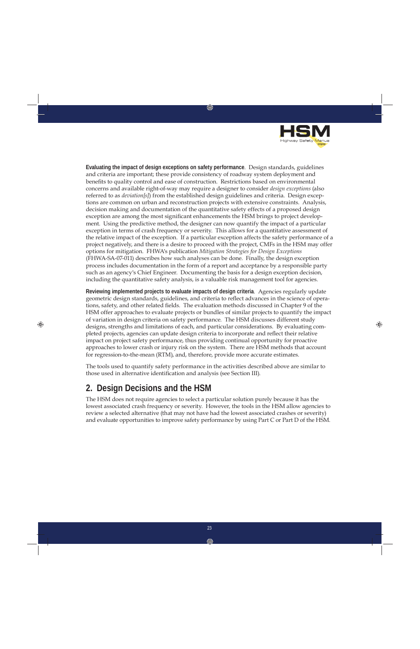

**Evaluating the impact of design exceptions on safety performance**. Design standards, guidelines and criteria are important; these provide consistency of roadway system deployment and benefits to quality control and ease of construction. Restrictions based on environmental concerns and available right-of-way may require a designer to consider *design exceptions* (also referred to as *deviation[s]*) from the established design guidelines and criteria. Design exceptions are common on urban and reconstruction projects with extensive constraints. Analysis, decision making and documentation of the quantitative safety effects of a proposed design exception are among the most significant enhancements the HSM brings to project development. Using the predictive method, the designer can now quantify the impact of a particular exception in terms of crash frequency or severity. This allows for a quantitative assessment of the relative impact of the exception. If a particular exception affects the safety performance of a project negatively, and there is a desire to proceed with the project, CMFs in the HSM may offer options for mitigation. FHWA's publication *Mitigation Strategies for Design Exceptions* (FHWA-SA-07-011) describes how such analyses can be done. Finally, the design exception process includes documentation in the form of a report and acceptance by a responsible party such as an agency's Chief Engineer. Documenting the basis for a design exception decision, including the quantitative safety analysis, is a valuable risk management tool for agencies.

**Reviewing implemented projects to evaluate impacts of design criteria**. Agencies regularly update geometric design standards, guidelines, and criteria to reflect advances in the science of operations, safety, and other related fields. The evaluation methods discussed in Chapter 9 of the HSM offer approaches to evaluate projects or bundles of similar projects to quantify the impact of variation in design criteria on safety performance. The HSM discusses different study designs, strengths and limitations of each, and particular considerations. By evaluating completed projects, agencies can update design criteria to incorporate and reflect their relative impact on project safety performance, thus providing continual opportunity for proactive approaches to lower crash or injury risk on the system. There are HSM methods that account for regression-to-the-mean (RTM), and, therefore, provide more accurate estimates.

The tools used to quantify safety performance in the activities described above are similar to those used in alternative identification and analysis (see Section III).

### **2. Design Decisions and the HSM**

The HSM does not require agencies to select a particular solution purely because it has the lowest associated crash frequency or severity. However, the tools in the HSM allow agencies to review a selected alternative (that may not have had the lowest associated crashes or severity) and evaluate opportunities to improve safety performance by using Part C or Part D of the HSM.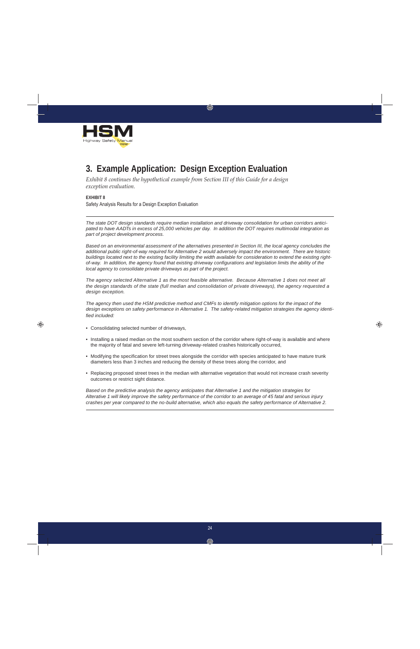

### **3. Example Application: Design Exception Evaluation**

*Exhibit 8 continues the hypothetical example from Section III of this Guide for a design exception evaluation.*

#### **EXHIBIT 8**

Safety Analysis Results for a Design Exception Evaluation

*The state DOT design standards require median installation and driveway consolidation for urban corridors anticipated to have AADTs in excess of 25,000 vehicles per day. In addition the DOT requires multimodal integration as part of project development process.*

*Based on an environmental assessment of the alternatives presented in Section III, the local agency concludes the additional public right-of-way required for Alternative 2 would adversely impact the environment. There are historic buildings located next to the existing facility limiting the width available for consideration to extend the existing rightof-way. In addition, the agency found that existing driveway confi gurations and legislation limits the ability of the local agency to consolidate private driveways as part of the project.*

*The agency selected Alternative 1 as the most feasible alternative. Because Alternative 1 does not meet all the design standards of the state (full median and consolidation of private driveways), the agency requested a design exception.*

*The agency then used the HSM predictive method and CMFs to identify mitigation options for the impact of the design exceptions on safety performance in Alternative 1. The safety-related mitigation strategies the agency identifi ed included:*

- Consolidating selected number of driveways,
- Installing a raised median on the most southern section of the corridor where right-of-way is available and where the majority of fatal and severe left-turning driveway-related crashes historically occurred,
- Modifying the specification for street trees alongside the corridor with species anticipated to have mature trunk diameters less than 3 inches and reducing the density of these trees along the corridor, and
- Replacing proposed street trees in the median with alternative vegetation that would not increase crash severity outcomes or restrict sight distance.

*Based on the predictive analysis the agency anticipates that Alternative 1 and the mitigation strategies for Alterative 1 will likely improve the safety performance of the corridor to an average of 45 fatal and serious injury crashes per year compared to the no-build alternative, which also equals the safety performance of Alternative 2.*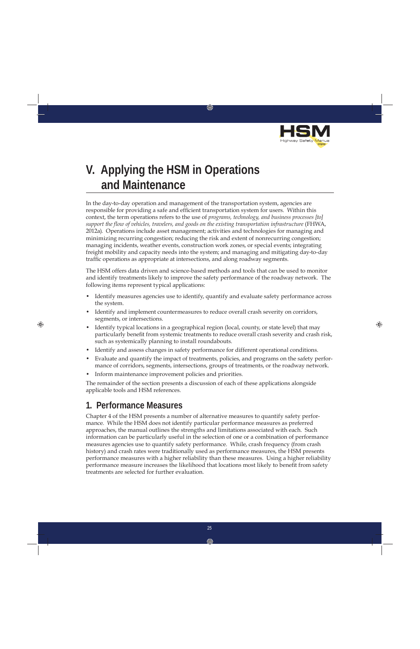

## **V. Applying the HSM in Operations and Maintenance**

In the day-to-day operation and management of the transportation system, agencies are responsible for providing a safe and efficient transportation system for users. Within this context, the term operations refers to the use of *programs, technology, and business processes [to] support the flow of vehicles, travelers, and goods on the existing transportation infrastructure* (FHWA, 2012a). Operations include asset management; activities and technologies for managing and minimizing recurring congestion; reducing the risk and extent of nonrecurring congestion; managing incidents, weather events, construction work zones, or special events; integrating freight mobility and capacity needs into the system; and managing and mitigating day-to-day traffic operations as appropriate at intersections, and along roadway segments.

The HSM offers data driven and science-based methods and tools that can be used to monitor and identify treatments likely to improve the safety performance of the roadway network. The following items represent typical applications:

- Identify measures agencies use to identify, quantify and evaluate safety performance across the system.
- Identify and implement countermeasures to reduce overall crash severity on corridors, segments, or intersections.
- Identify typical locations in a geographical region (local, county, or state level) that may particularly benefit from systemic treatments to reduce overall crash severity and crash risk, such as systemically planning to install roundabouts.
- Identify and assess changes in safety performance for different operational conditions.
- Evaluate and quantify the impact of treatments, policies, and programs on the safety performance of corridors, segments, intersections, groups of treatments, or the roadway network.
- Inform maintenance improvement policies and priorities.

The remainder of the section presents a discussion of each of these applications alongside applicable tools and HSM references.

### **1. Performance Measures**

Chapter 4 of the HSM presents a number of alternative measures to quantify safety performance. While the HSM does not identify particular performance measures as preferred approaches, the manual outlines the strengths and limitations associated with each. Such information can be particularly useful in the selection of one or a combination of performance measures agencies use to quantify safety performance. While, crash frequency (from crash history) and crash rates were traditionally used as performance measures, the HSM presents performance measures with a higher reliability than these measures. Using a higher reliability performance measure increases the likelihood that locations most likely to benefit from safety treatments are selected for further evaluation.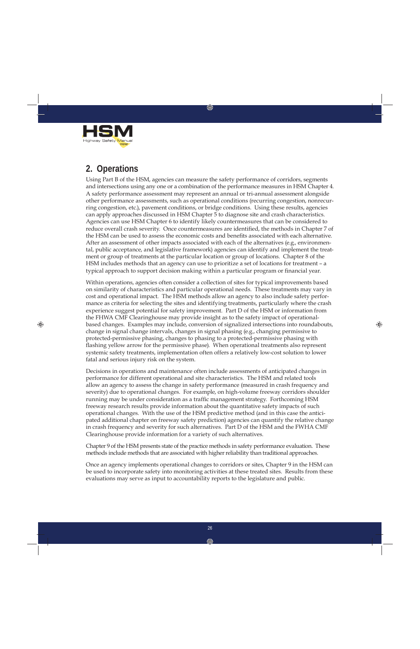

### **2. Operations**

Using Part B of the HSM, agencies can measure the safety performance of corridors, segments and intersections using any one or a combination of the performance measures in HSM Chapter 4. A safety performance assessment may represent an annual or tri-annual assessment alongside other performance assessments, such as operational conditions (recurring congestion, nonrecurring congestion, etc.), pavement conditions, or bridge conditions. Using these results, agencies can apply approaches discussed in HSM Chapter 5 to diagnose site and crash characteristics. Agencies can use HSM Chapter 6 to identify likely countermeasures that can be considered to reduce overall crash severity. Once countermeasures are identified, the methods in Chapter 7 of the HSM can be used to assess the economic costs and benefits associated with each alternative. After an assessment of other impacts associated with each of the alternatives (e.g., environmental, public acceptance, and legislative framework) agencies can identify and implement the treatment or group of treatments at the particular location or group of locations. Chapter 8 of the HSM includes methods that an agency can use to prioritize a set of locations for treatment – a typical approach to support decision making within a particular program or financial year.

Within operations, agencies often consider a collection of sites for typical improvements based on similarity of characteristics and particular operational needs. These treatments may vary in cost and operational impact. The HSM methods allow an agency to also include safety performance as criteria for selecting the sites and identifying treatments, particularly where the crash experience suggest potential for safety improvement. Part D of the HSM or information from the FHWA CMF Clearinghouse may provide insight as to the safety impact of operationalbased changes. Examples may include, conversion of signalized intersections into roundabouts, change in signal change intervals, changes in signal phasing (e.g., changing permissive to protected-permissive phasing, changes to phasing to a protected-permissive phasing with flashing yellow arrow for the permissive phase). When operational treatments also represent systemic safety treatments, implementation often offers a relatively low-cost solution to lower fatal and serious injury risk on the system.

Decisions in operations and maintenance often include assessments of anticipated changes in performance for different operational and site characteristics. The HSM and related tools allow an agency to assess the change in safety performance (measured in crash frequency and severity) due to operational changes. For example, on high-volume freeway corridors shoulder running may be under consideration as a traffic management strategy. Forthcoming HSM freeway research results provide information about the quantitative safety impacts of such operational changes. With the use of the HSM predictive method (and in this case the anticipated additional chapter on freeway safety prediction) agencies can quantify the relative change in crash frequency and severity for such alternatives. Part D of the HSM and the FWHA CMF Clearinghouse provide information for a variety of such alternatives.

Chapter 9 of the HSM presents state of the practice methods in safety performance evaluation. These methods include methods that are associated with higher reliability than traditional approaches.

Once an agency implements operational changes to corridors or sites, Chapter 9 in the HSM can be used to incorporate safety into monitoring activities at these treated sites. Results from these evaluations may serve as input to accountability reports to the legislature and public.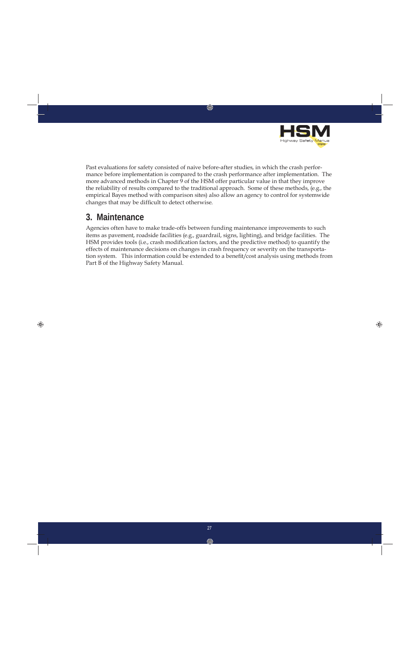

Past evaluations for safety consisted of naive before-after studies, in which the crash performance before implementation is compared to the crash performance after implementation. The more advanced methods in Chapter 9 of the HSM offer particular value in that they improve the reliability of results compared to the traditional approach. Some of these methods, (e.g., the empirical Bayes method with comparison sites) also allow an agency to control for systemwide changes that may be difficult to detect otherwise.

### **3. Maintenance**

Agencies often have to make trade-offs between funding maintenance improvements to such items as pavement, roadside facilities (e.g., guardrail, signs, lighting), and bridge facilities. The HSM provides tools (i.e., crash modification factors, and the predictive method) to quantify the effects of maintenance decisions on changes in crash frequency or severity on the transportation system. This information could be extended to a benefit/cost analysis using methods from Part B of the Highway Safety Manual.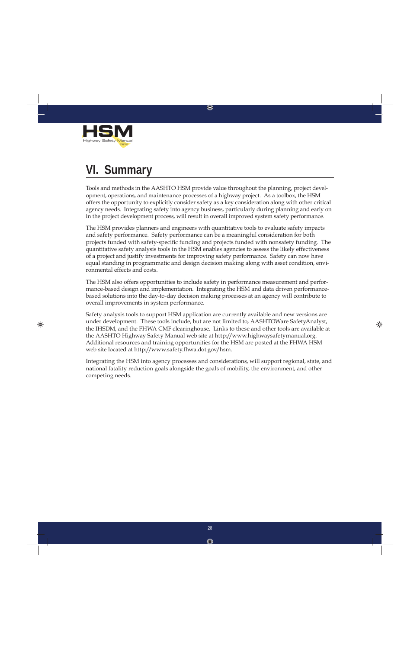

## **VI. Summary**

Tools and methods in the AASHTO HSM provide value throughout the planning, project development, operations, and maintenance processes of a highway project. As a toolbox, the HSM offers the opportunity to explicitly consider safety as a key consideration along with other critical agency needs. Integrating safety into agency business, particularly during planning and early on in the project development process, will result in overall improved system safety performance.

The HSM provides planners and engineers with quantitative tools to evaluate safety impacts and safety performance. Safety performance can be a meaningful consideration for both projects funded with safety-specific funding and projects funded with nonsafety funding. The quantitative safety analysis tools in the HSM enables agencies to assess the likely effectiveness of a project and justify investments for improving safety performance. Safety can now have equal standing in programmatic and design decision making along with asset condition, environmental effects and costs.

The HSM also offers opportunities to include safety in performance measurement and performance-based design and implementation. Integrating the HSM and data driven performancebased solutions into the day-to-day decision making processes at an agency will contribute to overall improvements in system performance.

Safety analysis tools to support HSM application are currently available and new versions are under development. These tools include, but are not limited to, AASHTOWare SafetyAnalyst, the IHSDM, and the FHWA CMF clearinghouse. Links to these and other tools are available at the AASHTO Highway Safety Manual web site at http://www.highwaysafetymanual.org. Additional resources and training opportunities for the HSM are posted at the FHWA HSM web site located at http://www.safety.fhwa.dot.gov/hsm.

Integrating the HSM into agency processes and considerations, will support regional, state, and national fatality reduction goals alongside the goals of mobility, the environment, and other competing needs.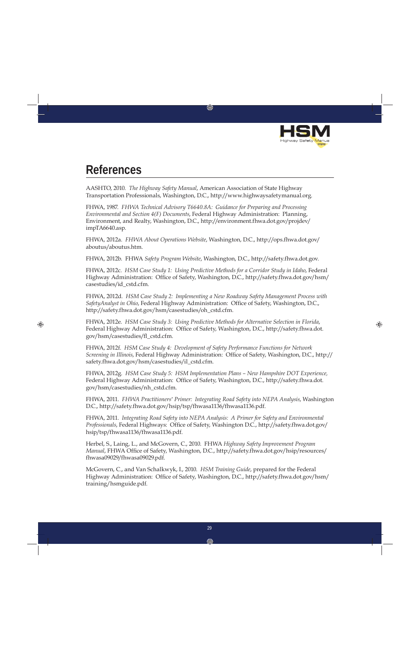

## **References**

AASHTO, 2010. *The Highway Safety Manual*, American Association of State Highway Transportation Professionals, Washington, D.C., http://www.highwaysafetymanual.org.

FHWA, 1987. *FHWA Technical Advisory T6640.8A: Guidance for Preparing and Processing Environmental and Section 4(F) Documents*, Federal Highway Administration: Planning, Environment, and Realty, Washington, D.C., http://environment.fhwa.dot.gov/projdev/ impTA6640.asp.

FHWA, 2012a. *FHWA About Operations Website*, Washington, D.C., http://ops.fhwa.dot.gov/ aboutus/aboutus.htm.

FHWA, 2012b. FHWA *Safety Program Website*, Washington, D.C., http://safety.fhwa.dot.gov.

FHWA, 2012c. *HSM Case Study 1: Using Predictive Methods for a Corridor Study in Idaho*, Federal Highway Administration: Office of Safety, Washington, D.C., http://safety.fhwa.dot.gov/hsm/ casestudies/id\_cstd.cfm.

FHWA, 2012d. *HSM Case Study 2: Implementing a New Roadway Safety Management Process with SafetyAnalyst in Ohio*, Federal Highway Administration: Office of Safety, Washington, D.C., http://safety.fhwa.dot.gov/hsm/casestudies/oh\_cstd.cfm.

FHWA, 2012e. *HSM Case Study 3: Using Predictive Methods for Alternative Selection in Florida*, Federal Highway Administration: Office of Safety, Washington, D.C., http://safety.fhwa.dot. gov/hsm/casestudies/fl \_cstd.cfm.

FHWA, 2012f. *HSM Case Study 4: Development of Safety Performance Functions for Network Screening in Illinois, Federal Highway Administration: Office of Safety, Washington, D.C., http://* safety.fhwa.dot.gov/hsm/casestudies/il\_cstd.cfm.

FHWA, 2012g. *HSM Case Study 5: HSM Implementation Plans – New Hampshire DOT Experience,* Federal Highway Administration: Office of Safety, Washington, D.C., http://safety.fhwa.dot. gov/hsm/casestudies/nh\_cstd.cfm.

FHWA, 2011. *FHWA Practitioners' Primer: Integrating Road Safety into NEPA Analysis*, Washington D.C., http://safety.fhwa.dot.gov/hsip/tsp/fhwasa1136/fhwasa1136.pdf.

FHWA, 2011. *Integrating Road Safety into NEPA Analysis: A Primer for Safety and Environmental*  Professionals, Federal Highways: Office of Safety, Washington D.C., http://safety.fhwa.dot.gov/ hsip/tsp/fhwasa1136/fhwasa1136.pdf.

Herbel, S., Laing, L., and McGovern, C., 2010. FHWA *Highway Safety Improvement Program Manual*, FHWA Office of Safety, Washington, D.C., http://safety.fhwa.dot.gov/hsip/resources/ fhwasa09029/fhwasa09029.pdf.

McGovern, C., and Van Schalkwyk, I., 2010. *HSM Training Guide*, prepared for the Federal Highway Administration: Office of Safety, Washington, D.C., http://safety.fhwa.dot.gov/hsm/ training/hsmguide.pdf.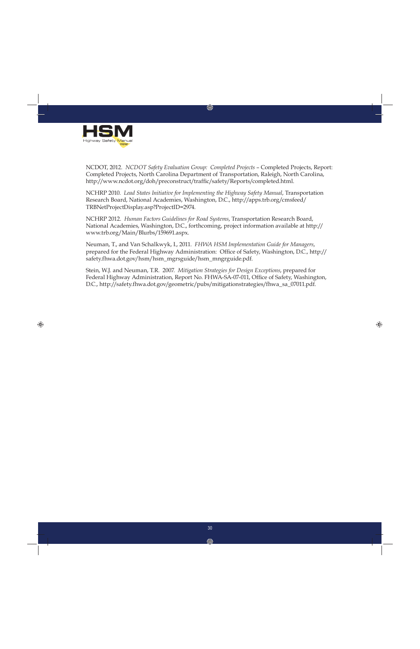

NCDOT, 2012. *NCDOT Safety Evaluation Group: Completed Projects* – Completed Projects, Report: Completed Projects, North Carolina Department of Transportation, Raleigh, North Carolina, http://www.ncdot.org/doh/preconstruct/traffic/safety/Reports/completed.html.

NCHRP 2010. *Lead States Initiative for Implementing the Highway Safety Manual*, Transportation Research Board, National Academies, Washington, D.C., http://apps.trb.org/cmsfeed/ TRBNetProjectDisplay.asp?ProjectID=2974.

NCHRP 2012. *Human Factors Guidelines for Road Systems*, Transportation Research Board, National Academies, Washington, D.C., forthcoming, project information available at http:// www.trb.org/Main/Blurbs/159691.aspx.

Neuman, T., and Van Schalkwyk, I., 2011. *FHWA HSM Implementation Guide for Managers*, prepared for the Federal Highway Administration: Office of Safety, Washington, D.C., http:// safety.fhwa.dot.gov/hsm/hsm\_mgrsguide/hsm\_mngrguide.pdf.

Stein, W.J. and Neuman, T.R. 2007. *Mitigation Strategies for Design Exceptions*, prepared for Federal Highway Administration, Report No. FHWA-SA-07-011, Office of Safety, Washington, D.C., http://safety.fhwa.dot.gov/geometric/pubs/mitigationstrategies/fhwa\_sa\_07011.pdf.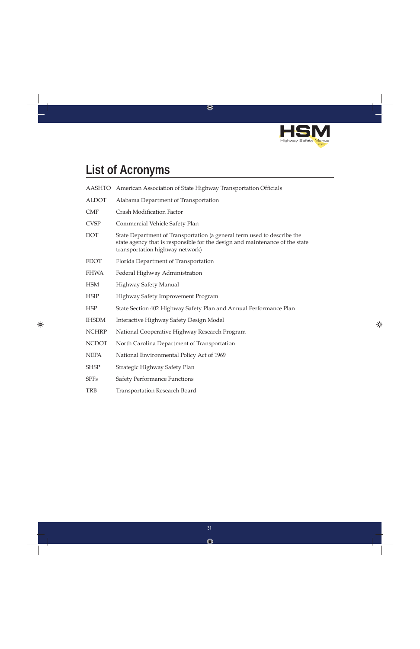

# **List of Acronyms**

| <b>AASHTO</b> | American Association of State Highway Transportation Officials                                                                                                                             |
|---------------|--------------------------------------------------------------------------------------------------------------------------------------------------------------------------------------------|
| <b>ALDOT</b>  | Alabama Department of Transportation                                                                                                                                                       |
| <b>CMF</b>    | <b>Crash Modification Factor</b>                                                                                                                                                           |
| <b>CVSP</b>   | Commercial Vehicle Safety Plan                                                                                                                                                             |
| <b>DOT</b>    | State Department of Transportation (a general term used to describe the<br>state agency that is responsible for the design and maintenance of the state<br>transportation highway network) |
| <b>FDOT</b>   | Florida Department of Transportation                                                                                                                                                       |
| <b>FHWA</b>   | Federal Highway Administration                                                                                                                                                             |
| <b>HSM</b>    | Highway Safety Manual                                                                                                                                                                      |
| <b>HSIP</b>   | Highway Safety Improvement Program                                                                                                                                                         |
| <b>HSP</b>    | State Section 402 Highway Safety Plan and Annual Performance Plan                                                                                                                          |
| <b>IHSDM</b>  | Interactive Highway Safety Design Model                                                                                                                                                    |
| <b>NCHRP</b>  | National Cooperative Highway Research Program                                                                                                                                              |
| <b>NCDOT</b>  | North Carolina Department of Transportation                                                                                                                                                |
| <b>NEPA</b>   | National Environmental Policy Act of 1969                                                                                                                                                  |
| <b>SHSP</b>   | Strategic Highway Safety Plan                                                                                                                                                              |
| <b>SPFs</b>   | <b>Safety Performance Functions</b>                                                                                                                                                        |
| <b>TRB</b>    | <b>Transportation Research Board</b>                                                                                                                                                       |
|               |                                                                                                                                                                                            |